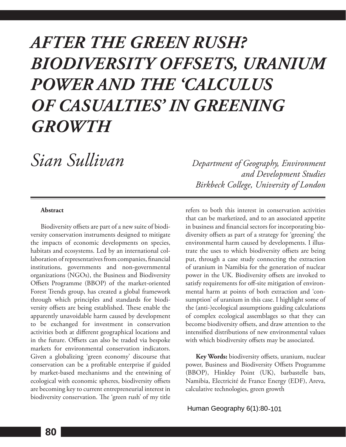# *After the Green Rush? Biodiversity Offsets, Uranium Power and the 'Calculus of Casualties' in Greening Growth*

*Sian Sullivan Department of Geography, Environment* 

*and Development Studies Birkbeck College, University of London*

#### **Abstract**

Biodiversity offsets are part of a new suite of biodiversity conservation instruments designed to mitigate the impacts of economic developments on species, habitats and ecosystems. Led by an international collaboration of representatives from companies, financial institutions, governments and non-governmental organizations (NGOs), the Business and Biodiversity Offsets Programme (BBOP) of the market-oriented Forest Trends group, has created a global framework through which principles and standards for biodiversity offsets are being established. These enable the apparently unavoidable harm caused by development to be exchanged for investment in conservation activities both at different geographical locations and in the future. Offsets can also be traded via bespoke markets for environmental conservation indicators. Given a globalizing 'green economy' discourse that conservation can be a profitable enterprise if guided by market-based mechanisms and the entwining of ecological with economic spheres, biodiversity offsets are becoming key to current entrepreneurial interest in biodiversity conservation. The 'green rush' of my title

refers to both this interest in conservation activities that can be marketized, and to an associated appetite in business and financial sectors for incorporating biodiversity offsets as part of a strategy for 'greening' the environmental harm caused by developments. I illustrate the uses to which biodiversity offsets are being put, through a case study connecting the extraction of uranium in Namibia for the generation of nuclear power in the UK. Biodiversity offsets are invoked to satisfy requirements for off-site mitigation of environmental harm at points of both extraction and 'consumption' of uranium in this case. I highlight some of the (anti-)ecological assumptions guiding calculations of complex ecological assemblages so that they can become biodiversity offsets, and draw attention to the intensified distributions of new environmental values with which biodiversity offsets may be associated.

**Key Words:** biodiversity offsets, uranium, nuclear power, Business and Biodiversity Offsets Programme (BBOP), Hinkley Point (UK), barbastelle bats, Namibia, Electricité de France Energy (EDF), Areva, calculative technologies, green growth

Human Geography 6(1):80-101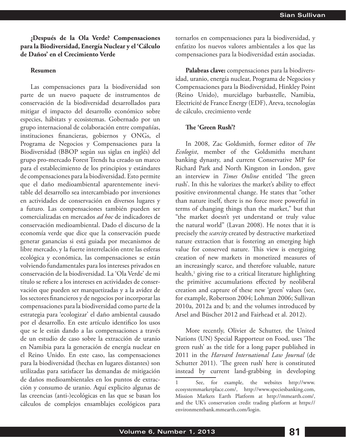## **¿Después de la Ola Verde? Compensaciones para la Biodiversidad, Energía Nuclear y el 'Cálculo de Daños' en el Crecimiento Verde**

#### **Resumen**

Las compensaciones para la biodiversidad son parte de un nuevo paquete de instrumentos de conservación de la biodiversidad desarrollados para mitigar el impacto del desarrollo económico sobre especies, hábitats y ecosistemas. Gobernado por un grupo internacional de colaboración entre compañías, instituciones financieras, gobiernos y ONGs, el Programa de Negocios y Compensaciones para la Biodiversidad (BBOP según sus siglas en inglés) del grupo pro-mercado Forest Trends ha creado un marco para el establecimiento de los principios y estándares de compensaciones para la biodiversidad. Esto permite que el daño medioambiental aparentemente inevitable del desarrollo sea intercambiado por inversiones en actividades de conservación en diversos lugares y a futuro. Las compensaciones también pueden ser comercializadas en mercados *ad hoc* de indicadores de conservación medioambiental. Dado el discurso de la economía verde que dice que la conservación puede generar ganancias si está guiada por mecanismos de libre mercado, y la fuerte interrelación entre las esferas ecológica y económica, las compensaciones se están volviendo fundamentales para los intereses privados en conservación de la biodiversidad. La 'Ola Verde' de mi título se refiere a los intereses en actividades de conservación que pueden ser marquetizadas y a la avidez de los sectores financieros y de negocios por incorporar las compensaciones para la biodiversidad como parte de la estrategia para 'ecologizar' el daño ambiental causado por el desarrollo. En este artículo identifico los usos que se le están dando a las compensaciones a través de un estudio de caso sobre la extracción de uranio en Namibia para la generación de energía nuclear en el Reino Unido. En este caso, las compensaciones para la biodiversidad (hechas en lugares distantes) son utilizadas para satisfacer las demandas de mitigación de daños medioambientales en los puntos de extracción y consumo de uranio. Aquí explicito algunas de las creencias (anti-)ecológicas en las que se basan los cálculos de complejos ensamblajes ecológicos para tornarlos en compensaciones para la biodiversidad, y enfatizo los nuevos valores ambientales a los que las compensaciones para la biodiversidad están asociadas.

**Palabras clave:** compensaciones para la biodiversidad, uranio, energía nuclear, Programa de Negocios y Compensaciones para la Biodiversidad, Hinkley Point (Reino Unido), murciélago barbastelle, Namibia, Electricité de France Energy (EDF), Areva, tecnologías de cálculo, crecimiento verde

#### **The 'Green Rush'?**

In 2008, Zac Goldsmith, former editor of *The Ecologist*, member of the Goldsmiths merchant banking dynasty, and current Conservative MP for Richard Park and North Kingston in London, gave an interview in *Times Online* entitled 'The green rush'. In this he valorizes the market's ability to effect positive environmental change. He states that "other than nature itself, there is no force more powerful in terms of changing things than the market," but that "the market doesn't yet understand or truly value the natural world" (Lavan 2008). He notes that it is precisely the *scarcity* created by destructive marketized nature extraction that is fostering an emerging high value for conserved nature. This view is energizing creation of new markets in monetized measures of an increasingly scarce, and therefore valuable, nature health,<sup>1</sup> giving rise to a critical literature highlighting the primitive accumulations effected by neoliberal creation and capture of these new 'green' values (see, for example, Robertson 2004; Lohman 2006; Sullivan 2010a, 2012a and b; and the volumes introduced by Arsel and Büscher 2012 and Fairhead et al. 2012).

More recently, Olivier de Schutter, the United Nations (UN) Special Rapporteur on Food, uses 'The green rush' as the title for a long paper published in 2011 in the *Harvard International Law Journal* (de Schutter 2011). 'The green rush' here is constituted instead by current land-grabbing in developing

<sup>1</sup> See, for example, the websites http://www. ecosystemmarketplace.com/, http://www.speciesbanking.com, Mission Markets Earth Platform at http://mmearth.com/, and the UK's conservation credit trading platform at https:// environmentbank.mmearth.com/login.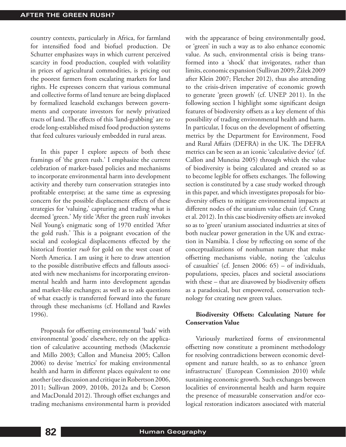country contexts, particularly in Africa, for farmland for intensified food and biofuel production. De Schutter emphasizes ways in which current perceived scarcity in food production, coupled with volatility in prices of agricultural commodities, is pricing out the poorest farmers from escalating markets for land rights. He expresses concern that various communal and collective forms of land tenure are being displaced by formalized leasehold exchanges between governments and corporate investors for newly privatized tracts of land. The effects of this 'land-grabbing' are to erode long-established mixed food production systems that feed cultures variously embedded in rural areas.

In this paper I explore aspects of both these framings of 'the green rush.' I emphasize the current celebration of market-based policies and mechanisms to incorporate environmental harm into development activity and thereby turn conservation strategies into profitable enterprise; at the same time as expressing concern for the possible displacement effects of these strategies for 'valuing,' capturing and trading what is deemed 'green.' My title 'After the green rush' invokes Neil Young's enigmatic song of 1970 entitled 'After the gold rush.' This is a poignant evocation of the social and ecological displacements effected by the historical frontier *rush* for gold on the west coast of North America. I am using it here to draw attention to the possible distributive effects and fallouts associated with new mechanisms for incorporating environmental health and harm into development agendas and market-like exchanges; as well as to ask questions of what exactly is transferred forward into the future through these mechanisms (cf. Holland and Rawles 1996).

Proposals for offsetting environmental 'bads' with environmental 'goods' elsewhere, rely on the application of calculative accounting methods (Mackenzie and Millo 2003; Callon and Muneisa 2005; Callon 2006) to devise 'metrics' for making environmental health and harm in different places equivalent to one another (see discussion and critique in Robertson 2006, 2011; Sullivan 2009, 2010b, 2012a and b; Corson and MacDonald 2012). Through offset exchanges and trading mechanisms environmental harm is provided with the appearance of being environmentally good, or 'green' in such a way as to also enhance economic value. As such, environmental crisis is being transformed into a 'shock' that invigorates, rather than limits, economic expansion (Sullivan 2009; Žižek 2009 after Klein 2007; Fletcher 2012), thus also attending to the crisis-driven imperative of economic growth to generate 'green growth' (cf. UNEP 2011). In the following section I highlight some significant design features of biodiversity offsets as a key element of this possibility of trading environmental health and harm. In particular, I focus on the development of offsetting metrics by the Department for Environment, Food and Rural Affairs (DEFRA) in the UK. The DEFRA metrics can be seen as an iconic 'calculative device' (cf. Callon and Muneisa 2005) through which the value of biodiversity is being calculated and created so as to become legible for offsets exchanges. The following section is constituted by a case study worked through in this paper, and which investigates proposals for biodiversity offsets to mitigate environmental impacts at different nodes of the uranium value chain (cf. Crang et al. 2012). In this case biodiversity offsets are invoked so as to 'green' uranium associated industries at sites of both nuclear power generation in the UK and extraction in Namibia. I close by reflecting on some of the conceptualizations of nonhuman nature that make offsetting mechanisms viable, noting the 'calculus of casualties' (cf. Jensen 2006: 65) – of individuals, populations, species, places and societal associations with these – that are disavowed by biodiversity offsets as a paradoxical, but empowered, conservation technology for creating new green values.

## **Biodiversity Offsets: Calculating Nature for Conservation Value**

Variously marketized forms of environmental offsetting now constitute a prominent methodology for resolving contradictions between economic development and nature health, so as to enhance 'green infrastructure' (European Commission 2010) while sustaining economic growth. Such exchanges between localities of environmental health and harm require the presence of measurable conservation and/or ecological restoration indicators associated with material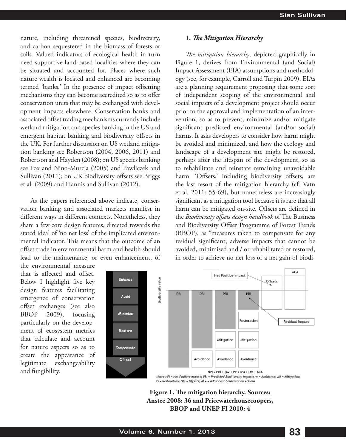nature, including threatened species, biodiversity, and carbon sequestered in the biomass of forests or soils. Valued indicators of ecological health in turn need supportive land-based localities where they can be situated and accounted for. Places where such nature wealth is located and enhanced are becoming termed 'banks.' In the presence of impact offsetting mechanisms they can become accredited so as to offer conservation units that may be exchanged with development impacts elsewhere. Conservation banks and associated offset trading mechanisms currently include wetland mitigation and species banking in the US and emergent habitat banking and biodiversity offsets in the UK. For further discussion on US wetland mitigation banking see Robertson (2004, 2006, 2011) and Robertson and Hayden (2008); on US species banking see Fox and Nino-Murcia (2005) and Pawliczek and Sullivan (2011); on UK biodiversity offsets see Briggs et al. (2009) and Hannis and Sullivan (2012).

As the papers referenced above indicate, conservation banking and associated markets manifest in different ways in different contexts. Nonetheless, they share a few core design features, directed towards the stated ideal of 'no net loss' of the implicated environmental indicator. This means that the outcome of an offset trade in environmental harm and health should lead to the maintenance, or even enhancement, of **1.** *The Mitigation Hierarchy*

*The mitigation hierarchy*, depicted graphically in Figure 1, derives from Environmental (and Social) Impact Assessment (EIA) assumptions and methodology (see, for example, Carroll and Turpin 2009). EIAs are a planning requirement proposing that some sort of independent scoping of the environmental and social impacts of a development project should occur prior to the approval and implementation of an intervention, so as to prevent, minimize and/or mitigate significant predicted environmental (and/or social) harms. It asks developers to consider how harm might be avoided and minimized, and how the ecology and landscape of a development site might be restored, perhaps after the lifespan of the development, so as to rehabilitate and reinstate remaining unavoidable harm. 'Offsets,' including biodiversity offsets, are the last resort of the mitigation hierarchy (cf. Vatn et al*.* 2011: 55-69), but nonetheless are increasingly significant as a mitigation tool because it is rare that all harm can be mitigated on-site. Offsets are defined in the *Biodiversity offsets design handbook* of The Business and Biodiversity Offset Programme of Forest Trends (BBOP), as "measures taken to compensate for any residual significant, adverse impacts that cannot be avoided, minimised and / or rehabilitated or restored, in order to achieve no net loss or a net gain of biodi-

the environmental measure that is affected and offset. Below I highlight five key design features facilitating emergence of conservation offset exchanges (see also BBOP 2009), focusing particularly on the development of ecosystem metrics that calculate and account for nature aspects so as to create the appearance of legitimate exchangeability and fungibility.



**Figure 1. The mitigation hierarchy. Sources: Anstee 2008: 36 and Pricewaterhousecoopers, BBOP and UNEP FI 2010: 4**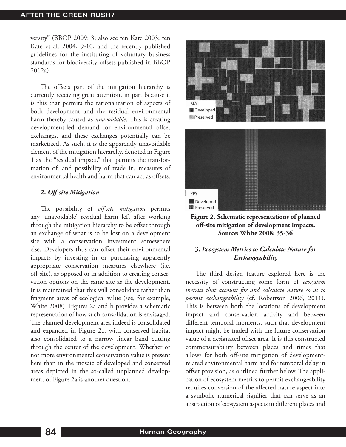#### **After the Green Rush?**

versity" (BBOP 2009: 3; also see ten Kate 2003; ten Kate et al. 2004, 9-10; and the recently published guidelines for the instituting of voluntary business standards for biodiversity offsets published in BBOP 2012a).

The offsets part of the mitigation hierarchy is currently receiving great attention, in part because it is this that permits the rationalization of aspects of both development and the residual environmental harm thereby caused as *unavoidable*. This is creating development-led demand for environmental offset exchanges, and these exchanges potentially can be marketized. As such, it is the apparently unavoidable element of the mitigation hierarchy, denoted in Figure 1 as the "residual impact," that permits the transformation of, and possibility of trade in, measures of environmental health and harm that can act as offsets.

#### **2.** *Off-site Mitigation*

The possibility of *off-site mitigation* permits any 'unavoidable' residual harm left after working through the mitigation hierarchy to be offset through an exchange of what is to be lost on a development site with a conservation investment somewhere else. Developers thus can offset their environmental impacts by investing in or purchasing apparently appropriate conservation measures elsewhere (i.e. off-site), as opposed or in addition to creating conservation options on the same site as the development. It is maintained that this will consolidate rather than fragment areas of ecological value (see, for example, White 2008). Figures 2a and b provides a schematic representation of how such consolidation is envisaged. The planned development area indeed is consolidated and expanded in Figure 2b, with conserved habitat also consolidated to a narrow linear band cutting through the center of the development. Whether or not more environmental conservation value is present here than in the mosaic of developed and conserved areas depicted in the so-called unplanned development of Figure 2a is another question.



Developed **III** Preserved **Figure 2. Schematic representations of planned** 

# **off-site mitigation of development impacts. Source: White 2008: 35-36**

# **3.** *Ecosystem Metrics to Calculate Nature for Exchangeability*

The third design feature explored here is the necessity of constructing some form of *ecosystem metrics that account for and calculate nature so as to permit exchangeability* (cf. Robertson 2006, 2011). This is between both the locations of development impact and conservation activity and between different temporal moments, such that development impact might be traded with the future conservation value of a designated offset area. It is this constructed commensurability between places and times that allows for both off-site mitigation of developmentrelated environmental harm and for temporal delay in offset provision, as outlined further below. The application of ecosystem metrics to permit exchangeability requires conversion of the affected nature aspect into a symbolic numerical signifier that can serve as an abstraction of ecosystem aspects in different places and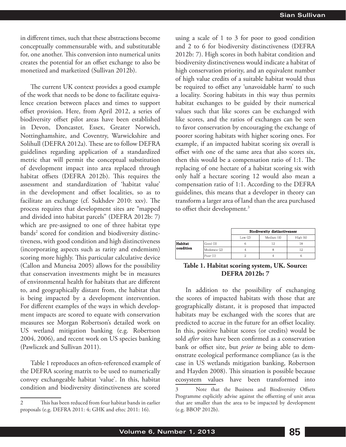in different times, such that these abstractions become conceptually commensurable with, and substitutable for, one another. This conversion into numerical units creates the potential for an offset exchange to also be monetized and marketized (Sullivan 2012b).

The current UK context provides a good example of the work that needs to be done to facilitate equivalence creation between places and times to support offset provision. Here, from April 2012, a series of biodiversity offset pilot areas have been established in Devon, Doncaster, Essex, Greater Norwich, Nottinghamshire, and Coventry, Warwickshire and Solihull (DEFRA 2012a). These are to follow DEFRA guidelines regarding application of a standardized metric that will permit the conceptual substitution of development impact into area replaced through habitat offsets (DEFRA 2012b). This requires the assessment and standardization of 'habitat value' in the development and offset localities, so as to facilitate an exchange (cf. Sukhdev 2010: xxv). The process requires that development sites are "mapped and divided into habitat parcels" (DEFRA 2012b: 7) which are pre-assigned to one of three habitat type bands2 scored for condition and biodiversity distinctiveness, with good condition and high distinctiveness (incorporating aspects such as rarity and endemism) scoring more highly. This particular calculative device (Callon and Muneisa 2005) allows for the possibility that conservation investments might be in measures of environmental health for habitats that are different to, and geographically distant from, the habitat that is being impacted by a development intervention. For different examples of the ways in which development impacts are scored to equate with conservation measures see Morgan Robertson's detailed work on US wetland mitigation banking (e.g. Robertson 2004, 2006), and recent work on US species banking (Pawliczek and Sullivan 2011).

Table 1 reproduces an often-referenced example of the DEFRA scoring matrix to be used to numerically convey exchangeable habitat 'value'. In this, habitat condition and biodiversity distinctiveness are scored

using a scale of 1 to 3 for poor to good condition and 2 to 6 for biodiversity distinctiveness (DEFRA 2012b: 7). High scores in both habitat condition and biodiversity distinctiveness would indicate a habitat of high conservation priority, and an equivalent number of high value credits of a suitable habitat would thus be required to offset any 'unavoidable harm' to such a locality. Scoring habitats in this way thus permits habitat exchanges to be guided by their numerical values such that like scores can be exchanged with like scores, and the ratios of exchanges can be seen to favor conservation by encouraging the exchange of poorer scoring habitats with higher scoring ones. For example, if an impacted habitat scoring six overall is offset with one of the same area that also scores six, then this would be a compensation ratio of 1:1. The replacing of one hectare of a habitat scoring six with only half a hectare scoring 12 would also mean a compensation ratio of 1:1. According to the DEFRA guidelines, this means that a developer in theory can transform a larger area of land than the area purchased to offset their development.<sup>3</sup>

|                      |              | <b>Biodiversity distinctiveness</b> |            |         |  |  |
|----------------------|--------------|-------------------------------------|------------|---------|--|--|
|                      |              | Low(2)                              | Medium (4) | High(6) |  |  |
| Habitat<br>condition | Good(3)      |                                     |            |         |  |  |
|                      | Moderate (2) |                                     |            |         |  |  |
|                      | Poor(1)      |                                     |            |         |  |  |

#### **Table 1. Habitat scoring system, UK. Source: DEFRA 2012b: 7**

In addition to the possibility of exchanging the scores of impacted habitats with those that are geographically distant, it is proposed that impacted habitats may be exchanged with the scores that are predicted to accrue in the future for an offset locality. In this, positive habitat scores (or credits) would be sold *after* sites have been confirmed as a conservation bank or offset site, but *prior to* being able to demonstrate ecological performance compliance (as is the case in US wetlands mitigation banking, Robertson and Hayden 2008). This situation is possible because ecosystem values have been transformed into

<sup>2</sup> This has been reduced from four habitat bands in earlier proposals (e.g. DEFRA 2011: 4; GHK and eftec 2011: 16).

<sup>3</sup> Note that the Business and Biodiversity Offsets Programme explicitly advise against the offsetting of unit areas that are smaller than the area to be impacted by development (e.g. BBOP 2012b).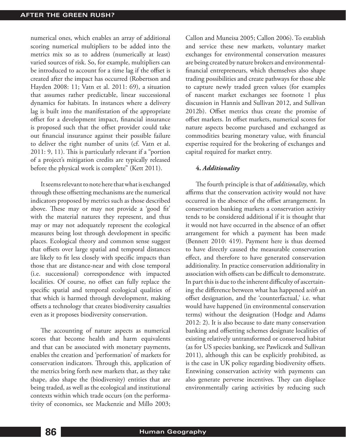numerical ones, which enables an array of additional scoring numerical multipliers to be added into the metrics mix so as to address (numerically at least) varied sources of risk. So, for example, multipliers can be introduced to account for a time lag if the offset is created after the impact has occurred (Robertson and Hayden 2008: 11; Vatn et al. 2011: 69), a situation that assumes rather predictable, linear successional dynamics for habitats. In instances where a delivery lag is built into the manifestation of the appropriate offset for a development impact, financial insurance is proposed such that the offset provider could take out financial insurance against their possible failure to deliver the right number of units (cf. Vatn et al. 2011: 9, 11). This is particularly relevant if a "portion of a project's mitigation credits are typically released before the physical work is complete" (Kett 2011).

It seems relevant to note here that what is exchanged through these offsetting mechanisms are the numerical indicators proposed by metrics such as those described above. These may or may not provide a 'good fit' with the material natures they represent, and thus may or may not adequately represent the ecological measures being lost through development in specific places. Ecological theory and common sense suggest that offsets over large spatial and temporal distances are likely to fit less closely with specific impacts than those that are distance-near and with close temporal (i.e. successional) correspondence with impacted localities. Of course, no offset can fully replace the specific spatial and temporal ecological qualities of that which is harmed through development, making offsets a technology that creates biodiversity casualties even as it proposes biodiversity conservation.

The accounting of nature aspects as numerical scores that become health and harm equivalents and that can be associated with monetary payments, enables the creation and 'performation' of markets for conservation indicators. Through this, application of the metrics bring forth new markets that, as they take shape, also shape the (biodiversity) entities that are being traded, as well as the ecological and institutional contexts within which trade occurs (on the performativity of economics, see Mackenzie and Millo 2003;

Callon and Muneisa 2005; Callon 2006). To establish and service these new markets, voluntary market exchanges for environmental conservation measures are being created by nature brokers and environmentalfinancial entrepreneurs, which themselves also shape trading possibilities and create pathways for those able to capture newly traded green values (for examples of nascent market exchanges see footnote 1 plus discussion in Hannis and Sullivan 2012, and Sullivan 2012b). Offset metrics thus create the promise of offset markets. In offset markets, numerical scores for nature aspects become purchased and exchanged as commodities bearing monetary value, with financial expertise required for the brokering of exchanges and capital required for market entry.

#### **4.** *Additionality*

The fourth principle is that of *additionality*, which affirms that the conservation activity would not have occurred in the absence of the offset arrangement. In conservation banking markets a conservation activity tends to be considered additional if it is thought that it would not have occurred in the absence of an offset arrangement for which a payment has been made (Bennett 2010: 419). Payment here is thus deemed to have directly caused the measurable conservation effect, and therefore to have generated conservation additionality. In practice conservation additionality in association with offsets can be difficult to demonstrate. In part this is due to the inherent difficulty of ascertaining the difference between what has happened *with* an offset designation, and the 'counterfactual,' i.e. what would have happened (in environmental conservation terms) without the designation (Hodge and Adams 2012: 2). It is also because to date many conservation banking and offsetting schemes designate localities of existing relatively untransformed or conserved habitat (as for US species banking, see Pawliczek and Sullivan 2011), although this can be explicitly prohibited, as is the case in UK policy regarding biodiversity offsets. Entwining conservation activity with payments can also generate perverse incentives. They can displace environmentally caring activities by reducing such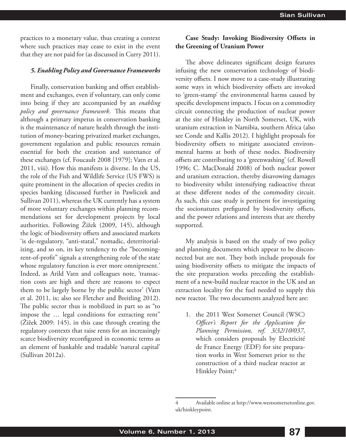practices to a monetary value, thus creating a context where such practices may cease to exist in the event that they are not paid for (as discussed in Curry 2011).

#### *5. Enabling Policy and Governance Frameworks*

Finally, conservation banking and offset establishment and exchanges, even if voluntary, can only come into being if they are accompanied by an *enabling policy and governance framework*. This means that although a primary impetus in conservation banking is the maintenance of nature health through the institution of money-bearing privatized market exchanges, government regulation and public resources remain essential for both the creation and sustenance of these exchanges (cf. Foucault 2008 [1979]; Vatn et al. 2011, viii). How this manifests is diverse. In the US, the role of the Fish and Wildlife Service (US FWS) is quite prominent in the allocation of species credits in species banking (discussed further in Pawliczek and Sullivan 2011), whereas the UK currently has a system of more voluntary exchanges within planning recommendations set for development projects by local authorities. Following Žižek (2009, 145), although the logic of biodiversity offsets and associated markets 'is de-regulatory, "anti-statal," nomadic, deterritorializing, and so on, its key tendency to the "becomingrent-of-profit" signals a strengthening role of the state whose regulatory function is ever more omnipresent.' Indeed, as Arild Vatn and colleagues note, 'transaction costs are high and there are reasons to expect them to be largely borne by the public sector' (Vatn et al. 2011, ix; also see Fletcher and Breitling 2012). The public sector thus is mobilized in part so as "to impose the … legal conditions for extracting rent" (Žižek 2009: 145), in this case through creating the regulatory contexts that raise rents for an increasingly scarce biodiversity reconfigured in economic terms as an element of bankable and tradable 'natural capital' (Sullivan 2012a).

#### **Case Study: Invoking Biodiversity Offsets in the Greening of Uranium Power**

The above delineates significant design features infusing the new conservation technology of biodiversity offsets. I now move to a case-study illustrating some ways in which biodiversity offsets are invoked to 'green-stamp' the environmental harms caused by specific development impacts. I focus on a commodity circuit connecting the production of nuclear power at the site of Hinkley in North Somerset, UK, with uranium extraction in Namibia, southern Africa (also see Conde and Kallis 2012). I highlight proposals for biodiversity offsets to mitigate associated environmental harms at both of these nodes. Biodiversity offsets are contributing to a 'greenwashing' (cf. Rowell 1996; C. MacDonald 2008) of both nuclear power and uranium extraction, thereby disavowing damages to biodiversity whilst intensifying radioactive threat at these different nodes of the commodity circuit. As such, this case study is pertinent for investigating the socionatures prefigured by biodiversity offsets, and the power relations and interests that are thereby supported.

My analysis is based on the study of two policy and planning documents which appear to be disconnected but are not. They both include proposals for using biodiversity offsets to mitigate the impacts of the site preparation works preceding the establishment of a new-build nuclear reactor in the UK and an extraction locality for the fuel needed to supply this new reactor. The two documents analyzed here are:

1. the 2011 West Somerset Council (WSC) *Officer's Report for the Application for Planning Permission, ref. 3/32/10/037*, which considers proposals by Electricité de France Energy (EDF) for site preparation works in West Somerset prior to the construction of a third nuclear reactor at Hinkley Point;<sup>4</sup>

<sup>4</sup> Available online at http://www.westsomersetonline.gov. uk/hinkleypoint.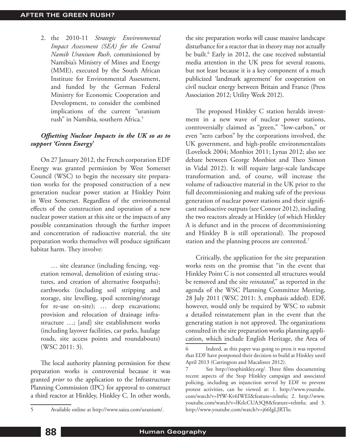2. the 2010-11 *Strategic Environmental Impact Assessment (SEA) for the Central Namib Uranium Rush*, commissioned by Namibia's Ministry of Mines and Energy (MME), executed by the South African Institute for Environmental Assessment, and funded by the German Federal Ministry for Economic Cooperation and Development, to consider the combined implications of the current "uranium rush" in Namibia, southern Africa.5

# *Offsetting Nuclear Impacts in the UK so as to support 'Green Energy'*

On 27 January 2012, the French corporation EDF Energy was granted permission by West Somerset Council (WSC) to begin the necessary site preparation works for the proposed construction of a new generation nuclear power station at Hinkley Point in West Somerset. Regardless of the environmental effects of the construction and operation of a new nuclear power station at this site or the impacts of any possible contamination through the further import and concentration of radioactive material, the site preparation works themselves will produce significant habitat harm. They involve:

… site clearance (including fencing, vegetation removal, demolition of existing structures, and creation of alternative footpaths); earthworks (including soil stripping and storage, site levelling, spoil screening/storage for re-use on-site); … deep excavations; provision and relocation of drainage infrastructure …; [and] site establishment works (including layover facilities, car parks, haulage roads, site access points and roundabouts) (WSC 2011: 3).

The local authority planning permission for these preparation works is controversial because it was granted *prior* to the application to the Infrastructure Planning Commission (IPC) for approval to construct a third reactor at Hinkley, Hinkley C. In other words, the site preparation works will cause massive landscape disturbance for a reactor that in theory may not actually be built.<sup>6</sup> Early in 2012, the case received substantial media attention in the UK press for several reasons, but not least because it is a key component of a much publicized 'landmark agreement' for cooperation on civil nuclear energy between Britain and France (Press Association 2012; Utility Week 2012).

The proposed Hinkley C station heralds investment in a new wave of nuclear power stations, controversially claimed as "green," "low-carbon," or even "zero carbon" by the corporations involved, the UK government, and high-profile environmentalists (Lovelock 2004; Monbiot 2011; Lynas 2012; also see debate between George Monbiot and Theo Simon in Vidal 2012). It will require large-scale landscape transformation and, of course, will increase the volume of radioactive material in the UK prior to the full decommissioning and making safe of the previous generation of nuclear power stations and their significant radioactive outputs (see Connor 2012), including the two reactors already at Hinkley (of which Hinkley A is defunct and in the process of decommissioning and Hinkley B is still operational). The proposed station and the planning process are contested.<sup>7</sup>

Critically, the application for the site preparation works rests on the promise that "in the event that Hinkley Point C is not consented all structures would be removed and the site *reinstated*," as reported in the agenda of the WSC Planning Committee Meeting, 28 July 2011 (WSC 2011: 3, emphasis added). EDF, however, would only be required by WSC to submit a detailed reinstatement plan in the event that the generating station is not approved. The organizations consulted in the site preparation works planning application, which include English Heritage, the Area of

<sup>5</sup> Available online at http://www.saiea.com/uranium/.

<sup>6</sup> Indeed, as this paper was going to press it was reported that EDF have postponed their decision to build at Hinkley until April 2013 (Carrington and Macalister 2012).

See http://stophinkley.org/. Three films documenting recent aspects of the Stop Hinkley campaign and associated policing, including an injunction served by EDF to prevent protest activities, can be viewed at: 1. http://www.youtube. com/watch?v=PfW-Kv6IWEI&feature=relmfu; 2. http://www. youtube.com/watch?v=lKtlcCUA3Q8&feature=relmfu; and 3. http://www.youtube.com/watch?v=j66IgLJRTlo.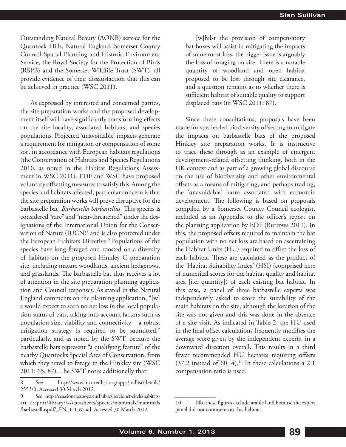Outstanding Natural Beauty (AONB) service for the Quantock Hills, Natural England, Somerset County Council Spatial Planning and Historic Environment Service, the Royal Society for the Protection of Birds (RSPB) and the Somerset Wildlife Trust (SWT), all provide evidence of their dissatisfaction that this can be achieved in practice (WSC 2011).

As expressed by interested and concerned parties, the site preparation works and the proposed development itself will have significantly transforming effects on the site locality, associated habitats, and species populations. Projected 'unavoidable' impacts generate a requirement for mitigation or compensation of some sort in accordance with European habitats regulations (the Conservation of Habitats and Species Regulations 2010, as noted in the Habitat Regulations Assessment in WSC 2011). EDF and WSC have proposed voluntary offsetting measures to satisfy this.Among the species and habitats affected, particular concern is that the site preparation works will prove disruptive for the barbastelle bat, *Barbastella barbastellus*. This species is considered "rare" and "near-threatened" under the designations of the International Union for the Conservation of Nature (IUCN)<sup>8</sup> and is also protected under the European Habitats Directive.<sup>9</sup> Populations of the species have long foraged and roosted on a diversity of habitats on the proposed Hinkley C preparation site, including mature woodlands, ancient hedgerows, and grasslands. The barbastelle bat thus receives a lot of attention in the site preparation planning application and Council responses. As stated in the Natural England comments on the planning application, "[w] e would expect to see a no net loss in the local population status of bats, taking into account factors such as population size, viability and connectivity – a robust mitigation strategy is required to be submitted," particularly, and as noted by the SWT, because the barbastelle bats represent "a qualifying feature" of the nearby Quantocks Special Area of Conservation, from which they travel to forage in the Hinkley site (WSC 2011: 65, 87). The SWT notes additionally that:

[w]hilst the provision of compensatory bat boxes will assist in mitigating the impacts of some roost loss, the bigger issue is arguably the loss of foraging on site. There is a notable quantity of woodland and open habitat proposed to be lost through site clearance, and a question remains as to whether there is sufficient habitat of suitable quality to support displaced bats (in WSC 2011: 87).

Since these consultations, proposals have been made for species-led biodiversity offsetting to mitigate the impacts on barbastelle bats of the proposed Hinkley site preparation works. It is instructive to trace these through as an example of emergent development-related offsetting thinking, both in the UK context and as part of a growing global discourse on the use of biodiversity and other environmental offsets as a means of mitigating, and perhaps trading, the 'unavoidable' harm associated with economic development. The following is based on proposals compiled by a Somerset County Council ecologist, included as an Appendix to the officer's report on the planning application by EDF (Burrows 2011). In this, the proposed offsets required to maintain the bat population with no net loss are based on ascertaining the Habitat Units (HU) required to offset the loss of each habitat. These are calculated as the product of the 'Habitat Suitability Index' (HSI) (comprised here of numerical scores for the habitat quality and habitat area [i.e. quantity]) of each existing bat habitat. In this case, a panel of three barbastelle experts was independently asked to score the suitability of the main habitats on the site, although the location of the site was not given and this was done in the absence of a site visit. As indicated in Table 2, the HU used in the final offset calculations frequently modifies the average score given by the independent experts, in a downward direction overall. This results in a third fewer recommended HU hectares requiring offsets  $(37.2 \text{ instead of } 60.4).$ <sup>10</sup> In these calculations a 2:1 compensation ratio is used.

<sup>8</sup> See http://www.iucnredlist.org/apps/redlist/details/ 2553/0, Accessed 30 March 2012.

See http://eea.eionet.europa.eu/Public/irc/eionet-circle/habitatsart17report/library?l=/datasheets/species/mammals/mammals /barbastelluspdf/\_EN\_1.0\_&a=d, Accessed 30 March 2012.

<sup>10</sup> Nb. these figures exclude arable land because the expert panel did not comment on this habitat.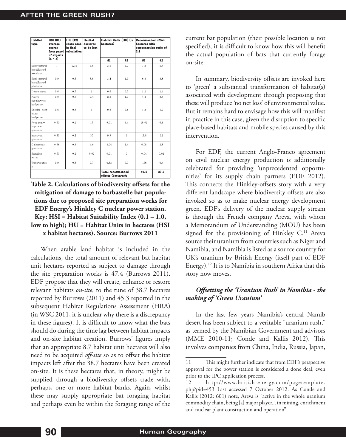| Habitat<br>type                           | $HSI$ $(*1)$<br>average<br>scores<br>from panel<br>of experts<br>$(n = 3)$ | $HSI$ $(42)$<br>score used<br>in final<br>calculation | Habitat<br>hectares<br>to be lost | Habitat Units (HU) (in<br>hectares)      |              | Recommended offset<br>hectares with<br>compensation ratio of<br>2:1 |      |
|-------------------------------------------|----------------------------------------------------------------------------|-------------------------------------------------------|-----------------------------------|------------------------------------------|--------------|---------------------------------------------------------------------|------|
|                                           |                                                                            |                                                       |                                   | #1                                       | #2           | #1                                                                  | #2   |
| Semi-natural<br>broadleaved<br>woodland   | $\mathbf{1}$                                                               | 0.75                                                  | 3.6                               | 3.6                                      | 2.7          | 7.2                                                                 | 5.4  |
| Semi-natural<br>broadleaved<br>plantation | 0.9                                                                        | 0.5                                                   | 3.8                               | 3.4                                      | 1.9          | 6.8                                                                 | 3.8  |
| Dense scrub                               | 0.6                                                                        | 0.7                                                   | 1                                 | 0.6                                      | 0.7          | 1.2                                                                 | 1.4  |
| Native<br>species-rich<br>hedgerow        | 0.9                                                                        | 0.8                                                   | 2.4                               | $2.2^{\circ}$                            | 1.9          | 4.4                                                                 | 3.8  |
| Species-poor<br>intact<br>hedgerow        | 0.6                                                                        | 0.6                                                   | $\mathbf{1}$                      | 0.6                                      | 0.6          | 1.2                                                                 | 1.2. |
| Poor semi-<br>improved<br>grassland       | 0.53                                                                       | 0.2                                                   | 17                                | 9.01                                     | 3.4          | 18.02                                                               | 6.8  |
| Improved<br>grassland                     | 0.33                                                                       | 0.2                                                   | 30                                | 9.9                                      | 6            | 19.8                                                                | 12   |
| Calcareous<br>grassland                   | 0.66                                                                       | 0.3                                                   | 4.6                               | 3.04                                     | 1.4          | 6.08                                                                | 2.8  |
| Standing<br>water                         | 0.53                                                                       | 0.2                                                   | 0.02                              | 0.01                                     | $\mathbf{0}$ | 0.04                                                                | 0.02 |
| Watercourse<br>s                          | 0.9                                                                        | 0.3                                                   | 0.7                               | 0.63                                     | 0.2          | 1.26                                                                | 0.4  |
|                                           |                                                                            |                                                       |                                   | Total recommended<br>offsets (hectares): |              | 60.4                                                                | 37.2 |

**Table 2. Calculations of biodiversity offsets for the mitigation of damage to barbastelle bat populations due to proposed site preparation works for EDF Energy's Hinkley C nuclear power station. Key: HSI = Habitat Suitability Index (0.1 – 1.0, low to high); HU = Habitat Units in hectares (HSI x habitat hectares). Source: Burrows 2011**

When arable land habitat is included in the calculations, the total amount of relevant bat habitat unit hectares reported as subject to damage through the site preparation works is 47.4 (Burrows 2011). EDF propose that they will create, enhance or restore relevant habitats *on-site*, to the tune of 38.7 hectares reported by Burrows (2011) and 45.3 reported in the subsequent Habitat Regulations Assessment (HRA) (in WSC 2011, it is unclear why there is a discrepancy in these figures). It is difficult to know what the bats should do during the time lag between habitat impacts and on-site habitat creation. Burrows' figures imply that an appropriate 8.7 habitat unit hectares will also need to be acquired *off-site* so as to offset the habitat impacts left after the 38.7 hectares have been created on-site. It is these hectares that, in theory, might be supplied through a biodiversity offsets trade with, perhaps, one or more habitat banks. Again, whilst these may supply appropriate bat foraging habitat and perhaps even be within the foraging range of the current bat population (their possible location is not specified), it is difficult to know how this will benefit the actual population of bats that currently forage on-site.

In summary, biodiversity offsets are invoked here to 'green' a substantial transformation of habitat(s) associated with development through proposing that these will produce 'no net loss' of environmental value. But it remains hard to envisage how this will manifest in practice in this case, given the disruption to specific place-based habitats and mobile species caused by this intervention.

For EDF, the current Anglo-Franco agreement on civil nuclear energy production is additionally celebrated for providing 'unprecedented opportunities' for its supply chain partners (EDF 2012). This connects the Hinkley-offsets story with a very different landscape where biodiversity offsets are also invoked so as to make nuclear energy development green. EDF's delivery of the nuclear supply stream is through the French company Areva, with whom a Memorandum of Understanding (MOU) has been signed for the provisioning of Hinkley C.<sup>11</sup> Areva source their uranium from countries such as Niger and Namibia, and Namibia is listed as a source country for UK's uranium by British Energy (itself part of EDF Energy).12 It is to Namibia in southern Africa that this story now moves.

# *Offsetting the 'Uranium Rush' in Namibia - the making of 'Green Uranium'*

In the last few years Namibia's central Namib desert has been subject to a veritable "uranium rush," as termed by the Namibian Government and advisors (MME 2010-11; Conde and Kallis 2012). This involves companies from China, India, Russia, Japan,

<sup>11</sup> This might further indicate that from EDF's perspective approval for the power station is considered a done deal, even prior to the IPC application process.

<sup>12</sup> http://www.british-energy.com/pagetemplate. php?pid=453 Last accessed 7 October 2012. As Conde and Kallis (2012: 601) note, Areva is "active in the whole uranium commodity chain, being [a] major player... in mining, enrichment and nuclear plant construction and operation".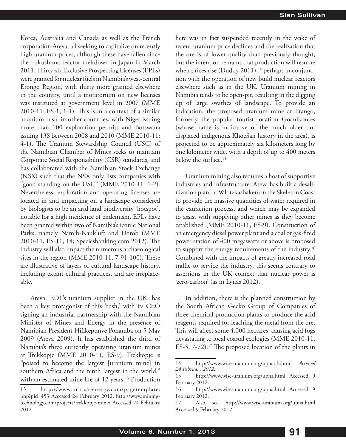Korea, Australia and Canada as well as the French corporation Areva, all seeking to capitalize on recently high uranium prices, although these have fallen since the Fukushima reactor meltdown in Japan in March 2011. Thirty-six Exclusive Prospecting Licenses (EPLs) were granted for nuclear fuels in Namibia's west-central Erongo Region, with thirty more granted elsewhere in the country, until a moratorium on new licenses was instituted at government level in 2007 (MME 2010-11: ES-1, 1-1). This is in a context of a similar 'uranium rush' in other countries, with Niger issuing more than 100 exploration permits and Botswana issuing 138 between 2008 and 2010 (MME 2010-11: 4-1). The Uranium Stewardship Council (USC) of the Namibian Chamber of Mines seeks to maintain Corporate Social Responsibility (CSR) standards, and has collaborated with the Namibian Stock Exchange (NSX) such that the NSX only lists companies with "good standing on the USC" (MME 2010-11: 1-2). Nevertheless, exploration and operating licenses are located in and impacting on a landscape considered by biologists to be an arid land biodiversity 'hotspot', notable for a high incidence of endemism. EPLs have been granted within two of Namibia's iconic National Parks, namely Namib-Naukluft and Dorob (MME 2010-11, ES-11, 14; Speciesbanking.com 2012). The industry will also impact the numerous archaeological sites in the region (MME 2010-11, 7-91-100). These are illustrative of layers of cultural landscape history, including extant cultural practices, and are irreplaceable.

Areva, EDF's uranium supplier in the UK, has been a key protagonist of this 'rush,' with its CEO signing an industrial partnership with the Namibian Minister of Mines and Energy in the presence of Namibian President Hifikepunye Pohamba on 5 May 2009 (Areva 2009). It has established the third of Namibia's three currently operating uranium mines at Trekkopje (MME 2010-11, ES-9). Trekkopje is "poised to become the largest [uranium mine] in southern Africa and the tenth largest in the world," with an estimated mine life of 12 years.<sup>13</sup> Production here was in fact suspended recently in the wake of recent uranium price declines and the realization that the ore is of lower quality than previously thought, but the intention remains that production will resume when prices rise (Duddy 2011), $14$  perhaps in conjunction with the operation of new build nuclear reactors elsewhere such as in the UK. Uranium mining in Namibia tends to be open-pit, resulting in the digging up of large swathes of landscape. To provide an indication, the proposed uranium mine at Etango, formerly the popular tourist location Goanikontes (whose name is indicative of the much older but displaced indigenous KhoeSān history in the area), is projected to be approximately six kilometers long by one kilometer wide, with a depth of up to 400 meters below the surface.15

Uranium mining also requires a host of supportive industries and infrastructure. Areva has built a desalinization plant at Wlotzkasbaken on the Skeleton Coast to provide the massive quantities of water required in the extraction process, and which may be expanded to assist with supplying other mines as they become established (MME 2010-11, ES-9). Construction of an emergency diesel power plant and a coal or gas-fired power station of 400 megawatts or above is proposed to support the energy requirements of the industry.16 Combined with the impacts of greatly increased road traffic to service the industry, this seems contrary to assertions in the UK context that nuclear power is 'zero-carbon' (as in Lynas 2012).

In addition, there is the planned construction by the South African Gecko Group of Companies of three chemical production plants to produce the acid reagents required for leaching the metal from the ore. This will affect some 4,000 hectares, causing acid fogs devastating to local coastal ecologies (MME 2010-11, ES-3, 7-72).<sup>17</sup> The proposed location of the plants in

<sup>13</sup> http://www.british-energy.com/pagetemplate. php?pid=453 Accessed 24 February 2012. http://www.miningtechnology.com/projects/trekkopje-mine/ Accessed 24 February 2012.

<sup>14</sup> http://www.wise-uranium.org/upnatrk.html *Accessed 24 February 2012.*

<sup>15</sup> http://www.wise-uranium.org/upna.html Accessed 9 February 2012.

<sup>16</sup> http://www.wise-uranium.org/upna.html Accessed 9 February 2012.

<sup>17</sup> Also see http://www.wise-uranium.org/upna.html Accessed 9 February 2012.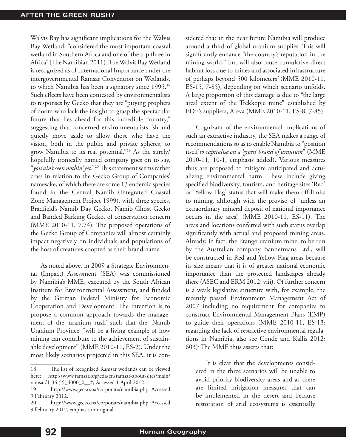Walvis Bay has significant implications for the Walvis Bay Wetland, "considered the most important coastal wetland in Southern Africa and one of the top three in Africa" (The Namibian 2011). The Walvis Bay Wetland is recognized as of International Importance under the intergovernmental Ramsar Convention on Wetlands, to which Namibia has been a signatory since 1995.18 Such effects have been contested by environmentalists to responses by Gecko that they are "pitying prophets of doom who lack the insight to grasp the spectacular future that lies ahead for this incredible country," suggesting that concerned environmentalists "should quietly move aside to allow those who have the vision, both in the public and private spheres, to grow Namibia to its real potential."19 As the surely/ hopefully ironically named company goes on to say, "*you ain't seen nothin' yet*."20This statement seems rather crass in relation to the Gecko Group of Companies' namesake, of which there are some 13 endemic species found in the Central Namib (Integrated Coastal Zone Management Project 1999), with three species, Bradfield's Namib Day Gecko, Namib Ghost Gecko and Banded Barking Gecko, of conservation concern (MME 2010-11, 7.74)*.* The proposed operations of the Gecko Group of Companies will almost certainly impact negatively on individuals and populations of the host of creatures coopted as their brand name.

As noted above, in 2009 a Strategic Environmental (Impact) Assessment (SEA) was commissioned by Namibia's MME, executed by the South African Institute for Environmental Assessment, and funded by the German Federal Ministry for Economic Cooperation and Development. The intention is to propose a common approach towards the management of the 'uranium rush' such that the 'Namib Uranium Province' "will be a living example of how mining can contribute to the achievement of sustainable development" (MME 2010-11, ES-2). Under the most likely scenarios projected in this SEA, it is considered that in the near future Namibia will produce around a third of global uranium supplies. This will significantly enhance "the country's reputation in the mining world," but will also cause cumulative direct habitat loss due to mines and associated infrastructure of perhaps beyond 500 kilometers<sup>2</sup> (MME 2010-11, ES-15, 7-85), depending on which scenario unfolds. A large proportion of this damage is due to "the large areal extent of the Trekkopje mine" established by EDF's suppliers, Areva (MME 2010-11, ES-8, 7-85).

Cognizant of the environmental implications of such an extractive industry, the SEA makes a range of recommendations so as to enable Namibia to "position itself *to capitalise on a 'green' brand of uranium*" (MME 2010-11, 10-1, emphasis added). Various measures thus are proposed to mitigate anticipated and actualizing environmental harm. These include giving specified biodiversity, tourism, and heritage sites 'Red' or 'Yellow Flag' status that will make them off-limits to mining, although with the proviso of "unless an extraordinary mineral deposit of national importance occurs in the area" (MME 2010-11, ES-11). The areas and locations conferred with such status overlap significantly with actual and proposed mining areas. Already, in fact, the Etango uranium mine, to be run by the Australian company Bannermans Ltd., will be constructed in Red and Yellow Flag areas because its size means that it is of greater national economic importance than the protected landscapes already there (ASEC and ERM 2012: viii). Of further concern is a weak legislative structure with, for example, the recently passed Environment Management Act of 2007 including no requirement for companies to construct Environmental Management Plans (EMP) to guide their operations (MME 2010-11, ES-13; regarding the lack of restrictive environmental regulations in Namibia, also see Conde and Kallis 2012; 603). The MME thus asserts that:

It is clear that the developments considered in the three scenarios will be unable to avoid priority biodiversity areas and as there are limited mitigation measures that can be implemented in the desert and because restoration of arid ecosystems is essentially

<sup>18</sup> The list of recognized Ramsar wetlands can be viewed here: http://www.ramsar.org/cda/en/ramsar-about-sites/main/ ramsar/1-36-55\_4000\_0\_\_#, Accessed 1 April 2012.

<sup>19</sup> http://www.gecko.na/corporate/namibia.php Accessed 9 February 2012.

<sup>20</sup> http://www.gecko.na/corporate/namibia.php Accessed 9 February 2012, emphasis in original.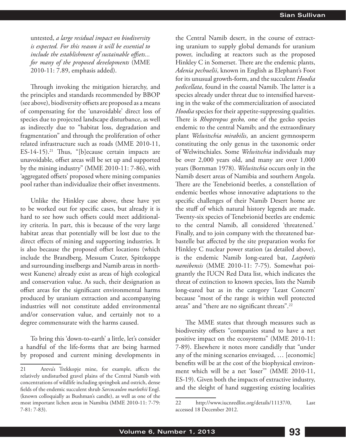untested, *a large residual impact on biodiversity is expected. For this reason it will be essential to include the establishment of sustainable offsets... for many of the proposed developments* (MME 2010-11: 7.89, emphasis added).

Through invoking the mitigation hierarchy, and the principles and standards recommended by BBOP (see above), biodiversity offsets are proposed as a means of compensating for the 'unavoidable' direct loss of species due to projected landscape disturbance, as well as indirectly due to "habitat loss, degradation and fragmentation" and through the proliferation of other related infrastructure such as roads (MME 2010-11, ES-14-15).<sup>21</sup> Thus, "[b]ecause certain impacts are unavoidable, offset areas will be set up and supported by the mining industry" (MME 2010-11: 7-86), with 'aggregated offsets' proposed where mining companies pool rather than individualize their offset investments.

Unlike the Hinkley case above, these have yet to be worked out for specific cases, but already it is hard to see how such offsets could meet additionality criteria. In part, this is because of the very large habitat areas that potentially will be lost due to the direct effects of mining and supporting industries. It is also because the proposed offset locations (which include the Brandberg, Messum Crater, Spitzkoppe and surrounding inselbergs and Namib areas in northwest Kunene) already exist as areas of high ecological and conservation value. As such, their designation as offset areas for the significant environmental harms produced by uranium extraction and accompanying industries will not constitute added environmental and/or conservation value, and certainly not to a degree commensurate with the harms caused.

To bring this 'down-to-earth' a little, let's consider a handful of the life-forms that are being harmed by proposed and current mining developments in

the Central Namib desert, in the course of extracting uranium to supply global demands for uranium power, including at reactors such as the proposed Hinkley C in Somerset. There are the endemic plants, *Adenia pechuelii*, known in English as Elephant's Foot for its unusual growth-form, and the succulent *Hoodia pedicellata*, found in the coastal Namib. The latter is a species already under threat due to intensified harvesting in the wake of the commercialization of associated *Hoodia* species for their appetite-suppressing qualities. There is *Rhoptropus gecko,* one of the gecko species endemic to the central Namib; and the extraordinary plant *Welwitschia mirabilis*, an ancient gymnosperm constituting the only genus in the taxonomic order of Welwitschiales. Some *Welwitschia* individuals may be over 2,000 years old, and many are over 1,000 years (Bornman 1978). *Welwitschia* occurs only in the Namib desert areas of Namibia and southern Angola. There are the Tenebrionid beetles, a constellation of endemic beetles whose innovative adaptations to the specific challenges of their Namib Desert home are the stuff of which natural history legends are made. Twenty-six species of Tenebrionid beetles are endemic to the central Namib, all considered 'threatened.' Finally, and to join company with the threatened barbastelle bat affected by the site preparation works for Hinkley C nuclear power station (as detailed above), is the endemic Namib long-eared bat, *Laephotis namibensis* (MME 2010-11: 7-75). Somewhat poignantly the IUCN Red Data list, which indicates the threat of extinction to known species, lists the Namib long-eared bat as in the category 'Least Concern' because "most of the range is within well protected areas" and "there are no significant threats".22

The MME states that through measures such as biodiversity offsets "companies stand to have a net positive impact on the ecosystems" (MME 2010-11: 7-89). Elsewhere it notes more candidly that "under any of the mining scenarios envisaged, … [economic] benefits will be at the cost of the biophysical environment which will be a net 'loser'" (MME 2010-11, ES-19). Given both the impacts of extractive industry, and the sleight of hand suggesting existing localities

<sup>21</sup> Areva's Trekkopje mine, for example, affects the relatively undisturbed gravel plains of the Central Namib with concentrations of wildlife including springbok and ostrich, dense fields of the endemic succulent shrub *Sarcocaulon marlothii* Engl. (known colloquially as Bushman's candle), as well as one of the most important lichen areas in Namibia (MME 2010-11: 7-79: 7-81: 7-83).

<sup>22</sup> http://www.iucnredlist.org/details/11137/0, Last accessed 18 December 2012.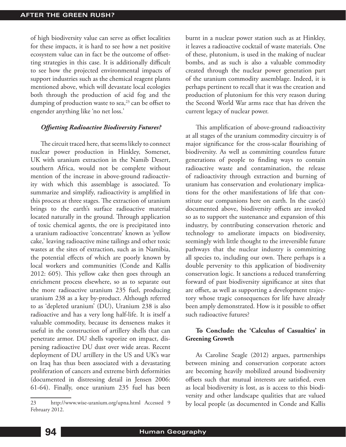of high biodiversity value can serve as offset localities for these impacts, it is hard to see how a net positive ecosystem value can in fact be the outcome of offsetting strategies in this case. It is additionally difficult to see how the projected environmental impacts of support industries such as the chemical reagent plants mentioned above, which will devastate local ecologies both through the production of acid fog and the dumping of production waste to sea, $^{23}$  can be offset to engender anything like 'no net loss.'

#### *Offsetting Radioactive Biodiversity Futures?*

The circuit traced here, that seems likely to connect nuclear power production in Hinkley, Somerset, UK with uranium extraction in the Namib Desert, southern Africa, would not be complete without mention of the increase in above-ground radioactivity with which this assemblage is associated. To summarize and simplify, radioactivity is amplified in this process at three stages. The extraction of uranium brings to the earth's surface radioactive material located naturally in the ground. Through application of toxic chemical agents, the ore is precipitated into a uranium radioactive 'concentrate' known as 'yellow cake,' leaving radioactive mine tailings and other toxic wastes at the sites of extraction, such as in Namibia, the potential effects of which are poorly known by local workers and communities (Conde and Kallis 2012: 605). This yellow cake then goes through an enrichment process elsewhere, so as to separate out the more radioactive uranium 235 fuel, producing uranium 238 as a key by-product. Although referred to as 'depleted uranium' (DU), Uranium 238 is also radioactive and has a very long half-life. It is itself a valuable commodity, because its denseness makes it useful in the construction of artillery shells that can penetrate armor. DU shells vaporize on impact, dispersing radioactive DU dust over wide areas. Recent deployment of DU artillery in the US and UK's war on Iraq has thus been associated with a devastating proliferation of cancers and extreme birth deformities (documented in distressing detail in Jensen 2006: 61-64). Finally, once uranium 235 fuel has been burnt in a nuclear power station such as at Hinkley, it leaves a radioactive cocktail of waste materials. One of these, plutonium, is used in the making of nuclear bombs, and as such is also a valuable commodity created through the nuclear power generation part of the uranium commodity assemblage. Indeed, it is perhaps pertinent to recall that it was the creation and production of plutonium for this very reason during the Second World War arms race that has driven the current legacy of nuclear power.

This amplification of above-ground radioactivity at all stages of the uranium commodity circuitry is of major significance for the cross-scalar flourishing of biodiversity. As well as committing countless future generations of people to finding ways to contain radioactive waste and contamination, the release of radioactivity through extraction and burning of uranium has conservation and evolutionary implications for the other manifestations of life that constitute our companions here on earth. In the case(s) documented above, biodiversity offsets are invoked so as to support the sustenance and expansion of this industry, by contributing conservation rhetoric and technology to ameliorate impacts on biodiversity, seemingly with little thought to the irreversible future pathways that the nuclear industry is committing all species to, including our own. There perhaps is a double perversity to this application of biodiversity conservation logic. It sanctions a reduced transferring forward of past biodiversity significance at sites that are offset, as well as supporting a development trajectory whose tragic consequences for life have already been amply demonstrated. How is it possible to offset such radioactive futures?

# **To Conclude: the 'Calculus of Casualties' in Greening Growth**

As Caroline Seagle (2012) argues, partnerships between mining and conservation corporate actors are becoming heavily mobilized around biodiversity offsets such that mutual interests are satisfied, even as local biodiversity is lost, as is access to this biodiversity and other landscape qualities that are valued by local people (as documented in Conde and Kallis

<sup>23</sup> http://www.wise-uranium.org/upna.html Accessed 9 February 2012.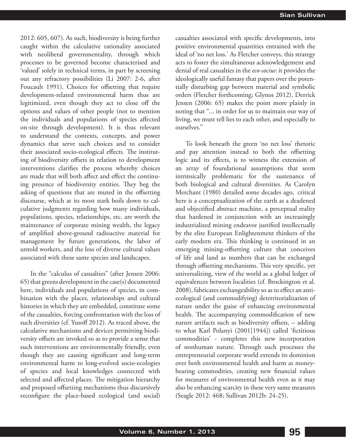2012: 605, 607). As such, biodiversity is being further caught within the calculative rationality associated with neoliberal governmentality, through which processes to be governed become characterised and 'valued' solely in technical terms, in part by screening out any refractory possibilities (Li 2007: 2-6, after Foucault 1991). Choices for offsetting that require development-related environmental harm thus are legitimized, even though they act to close off the options and values of other people (not to mention the individuals and populations of species affected on-site through development). It is thus relevant to understand the contexts, concepts, and power dynamics that serve such choices and to consider their associated socio-ecological effects. The instituting of biodiversity offsets in relation to development interventions clarifies the process whereby choices are made that will both affect and effect the continuing presence of biodiversity entities. They beg the asking of questions that are muted in the offsetting discourse, which at its most stark boils down to calculative judgments regarding how many individuals, populations, species, relationships, etc. are worth the maintenance of corporate mining wealth, the legacy of amplified above-ground radioactive material for management by future generations, the labor of untold workers, and the loss of diverse cultural values associated with these same species and landscapes.

In the "calculus of casualties" (after Jensen 2006: 65) that greens development in the case(s) documented here, individuals and populations of species, in combination with the places, relationships and cultural histories in which they are embedded, constitute some of the casualties, forcing confrontation with the loss of such diversities (cf. Yusoff 2012). As traced above, the calculative mechanisms and devices permitting biodiversity offsets are invoked so as to provide a sense that such interventions are environmentally friendly, even though they are causing significant and long-term environmental harm to long-evolved socio-ecologies of species and local knowledges connected with selected and affected places. The mitigation hierarchy and proposed offsetting mechanisms thus discursively reconfigure the place-based ecological (and social)

casualties associated with specific developments, into positive environmental quantities entrained with the ideal of 'no net loss.' As Fletcher conveys, this strategy acts to foster the simultaneous acknowledgement and denial of real casualties in the *eco-socius*: it provides the ideologically useful fantasy that papers over the potentially disturbing gap between material and symbolic orders (Fletcher forthcoming; Glynos 2012). Derrick Jensen (2006: 65) makes the point more plainly in noting that "... in order for us to maintain our way of living, we must tell lies to each other, and especially to ourselves."

To look beneath the green 'no net loss' rhetoric and pay attention instead to both the offsetting logic and its effects, is to witness the extension of an array of foundational assumptions that seem intrinsically problematic for the sustenance of both biological and cultural diversities. As Carolyn Merchant (1980) detailed some decades ago, critical here is a conceptualization of the earth as a deadened and objectified abstract machine, a perceptual reality that hardened in conjunction with an increasingly industrialized mining endeavor justified intellectually by the elite European Enlightenment thinkers of the early modern era. This thinking is continued in an emerging mining-offsetting culture that conceives of life and land as numbers that can be exchanged through offsetting mechanisms. This very specific, yet universalizing, view of the world as a global ledger of equivalences between localities (cf. Brockington et al. 2008), fabricates exchangeability so as to effect an antiecological (and commodifying) deterritorialization of nature under the guise of enhancing environmental health. The accompanying commodification of new nature artifacts such as biodiversity offsets, – adding to what Karl Polanyi (2001[1944]) called 'fictitious commodities' - completes this new incorporation of nonhuman nature. Through such processes the entrepreneurial corporate world extends its dominion over both environmental health and harm as moneybearing commodities, creating new financial values for measures of environmental health even as it may also be enhancing scarcity in these very same measures (Seagle 2012: 468; Sullivan 2012b: 24-25).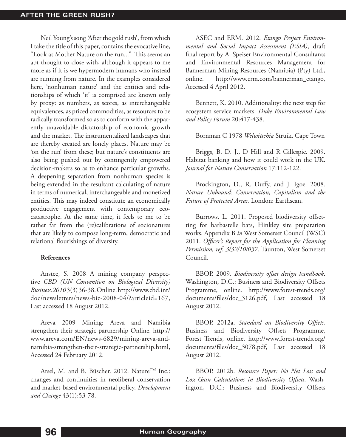Neil Young's song 'After the gold rush', from which I take the title of this paper, contains the evocative line, "Look at Mother Nature on the run..." This seems an apt thought to close with, although it appears to me more as if it is we hypermodern humans who instead are running from nature. In the examples considered here, 'nonhuman nature' and the entities and relationships of which 'it' is comprised are known only by proxy: as numbers, as scores, as interchangeable equivalences, as priced commodities, as resources to be radically transformed so as to conform with the apparently unavoidable dictatorship of economic growth and the market. The instrumentalized landscapes that are thereby created are lonely places. Nature may be 'on the run' from these; but nature's constituents are also being pushed out by contingently empowered decision-makers so as to enhance particular growths. A deepening separation from nonhuman species is being extended in the resultant calculating of nature in terms of numerical, interchangeable and monetized entities. This may indeed constitute an economically productive engagement with contemporary ecocatastrophe. At the same time, it feels to me to be rather far from the (re)calibrations of socionatures that are likely to compose long-term, democratic and relational flourishings of diversity.

#### **References**

Anstee, S. 2008 A mining company perspective *CBD (UN Convention on Biological Diversity) Business.2010* 3(3) 36-38. Online. http://www.cbd.int/ doc/newsletters/news-biz-2008-04/?articleid=167, Last accessed 18 August 2012.

Areva 2009 Mining: Areva and Namibia strengthen their strategic partnership Online. http:// www.areva.com/EN/news-6829/mining-areva-andnamibia-strengthen-their-strategic-partnership.html, Accessed 24 February 2012.

Arsel, M. and B. Büscher. 2012. Nature<sup>™</sup> Inc.: changes and continuities in neoliberal conservation and market-based environmental policy. *Development and Change* 43(1):53-78.

ASEC and ERM. 2012. *Etango Project Environmental and Social Impact Assessment (ESIA)*, draft final report by A. Speiser Environmental Consultants and Environmental Resources Management for Bannerman Mining Resources (Namibia) (Pty) Ltd., online. http://www.erm.com/bannerman\_etango, Accessed 4 April 2012.

Bennett, K. 2010. Additionality: the next step for ecosystem service markets. *Duke Environmental Law and Policy Forum* 20:417-438.

Bornman C 1978 *Welwitschia* Struik, Cape Town

Briggs, B. D. J., D Hill and R Gillespie. 2009. Habitat banking and how it could work in the UK. *Journal for Nature Conservation* 17:112-122.

Brockington, D., R. Duffy, and J. Igoe. 2008. *Nature Unbound: Conservation, Capitalism and the Future of Protected Areas.* London: Earthscan.

Burrows, L. 2011. Proposed biodiversity offsetting for barbastelle bats, Hinkley site preparation works. Appendix B *in* West Somerset Council (WSC) 2011. *Officer's Report for the Application for Planning Permission, ref. 3/32/10/037.* Taunton, West Somerset Council.

BBOP. 2009. *Biodiversity offset design handbook*. Washington, D.C.: Business and Biodiversity Offsets Programme, online. http://www.forest-trends.org/ documents/files/doc\_3126.pdf, Last accessed 18 August 2012.

BBOP. 2012a. *Standard on Biodiversity Offsets.*  Business and Biodiversity Offsets Programme, Forest Trends, online. http://www.forest-trends.org/ documents/files/doc\_3078.pdf, Last accessed 18 August 2012.

BBOP. 2012b. *Resource Paper: No Net Loss and Loss-Gain Calculations in Biodiversity Offsets*. Washington, D.C.: Business and Biodiversity Offsets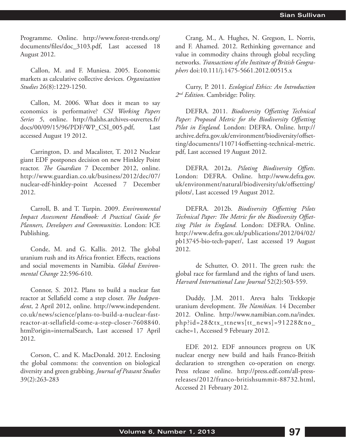Programme. Online. http://www.forest-trends.org/ documents/files/doc\_3103.pdf, Last accessed 18 August 2012.

Callon, M. and F. Muniesa. 2005. Economic markets as calculative collective devices. *Organization Studies* 26(8):1229-1250.

Callon, M. 2006. What does it mean to say economics is performative? *CSI Working Papers Series 5*, online. http://halshs.archives-ouvertes.fr/ docs/00/09/15/96/PDF/WP\_CSI\_005.pdf, Last accessed August 19 2012.

Carrington, D. and Macalister, T. 2012 Nuclear giant EDF postpones decision on new Hinkley Point reactor. *The Guardian* 7 December 2012, online. http://www.guardian.co.uk/business/2012/dec/07/ nuclear-edf-hinkley-point Accessed 7 December 2012.

Carroll, B. and T. Turpin. 2009. *Environmental Impact Assessment Handbook: A Practical Guide for Planners, Developers and Communities*. London: ICE Publishing.

Conde, M. and G. Kallis. 2012. The global uranium rush and its Africa frontier. Effects, reactions and social movements in Namibia. *Global Environmental Change* 22:596-610.

Connor, S. 2012. Plans to build a nuclear fast reactor at Sellafield come a step closer. *The Independent*, 2 April 2012, online. http://www.independent. co.uk/news/science/plans-to-build-a-nuclear-fastreactor-at-sellafield-come-a-step-closer-7608840. html?origin=internalSearch, Last accessed 17 April 2012.

Corson, C. and K. MacDonald. 2012. Enclosing the global commons: the convention on biological diversity and green grabbing. *Journal of Peasant Studies*  39(2):263-283

Crang, M., A. Hughes, N. Gregson, L. Norris, and F. Ahamed. 2012. Rethinking governance and value in commodity chains through global recycling networks. *Transactions of the Institute of British Geographers* doi:10.111/j.1475-5661.2012.00515.x

Curry, P. 2011. *Ecological Ethics: An Introduction 2nd Edition*. Cambridge: Polity.

DEFRA. 2011. *Biodiversity Offsetting Technical Paper: Proposed Metric for the Biodiversity Offsetting Pilot in England.* London: DEFRA. Online. http:// archive.defra.gov.uk/environment/biodiversity/offsetting/documents/110714offsetting-technical-metric. pdf, Last accessed 19 August 2012.

DEFRA. 2012a. *Piloting Biodiversity Offsets*. London: DEFRA. Online. http://www.defra.gov. uk/environment/natural/biodiversity/uk/offsetting/ pilots/, Last accessed 19 August 2012.

DEFRA. 2012b. *Biodiversity Offsetting Pilots Technical Paper: The Metric for the Biodiversity Offsetting Pilot in England.* London: DEFRA. Online. http://www.defra.gov.uk/publications/2012/04/02/ pb13745-bio-tech-paper/, Last accessed 19 August 2012.

de Schutter, O. 2011. The green rush: the global race for farmland and the rights of land users. *Harvard International Law Journal* 52(2):503-559.

Duddy, J.M. 2011. Areva halts Trekkopje uranium development. *The Namibian.* 14 December 2012. Online. http://www.namibian.com.na/index. php?id=28&tx\_ttnews[tt\_news]=91228&no\_ cache=1, Accessed 9 February 2012.

EDF. 2012. EDF announces progress on UK nuclear energy new build and hails Franco-British declaration to strengthen co-operation on energy. Press release online. http://press.edf.com/all-pressreleases/2012/franco-britishsummit-88732.html, Accessed 21 February 2012.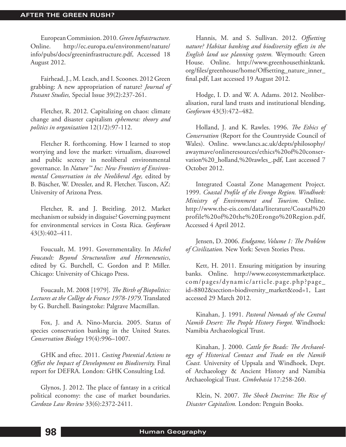#### **After the Green Rush?**

European Commission. 2010. *Green Infrastructure.* Online. http://ec.europa.eu/environment/nature/ info/pubs/docs/greeninfrastructure.pdf, Accessed 18 August 2012.

Fairhead, J., M. Leach, and I. Scoones. 2012 Green grabbing: A new appropriation of nature? *Journal of Peasant Studies,* Special Issue 39(2):237-261.

Fletcher, R. 2012. Capitalizing on chaos: climate change and disaster capitalism *ephemera: theory and politics in organization* 12(1/2):97-112.

Fletcher R. forthcoming. How I learned to stop worrying and love the market: virtualism, disavowel and public secrecy in neoliberal environmental governance. In *Nature™ Inc: New Frontiers of Environmental Conservation in the Neoliberal Age,* edited by B. Büscher, W. Dressler, and R. Fletcher. Tuscon, AZ: University of Arizona Press.

Fletcher, R. and J. Breitling. 2012. Market mechanism or subsidy in disguise? Governing payment for environmental services in Costa Rica. *Geoforum* 43(3):402–411.

Foucualt, M. 1991. Governmentality. In *Michel Foucault: Beyond Structuralism and Hermeneutics*, edited by G. Burchell, C. Gordon and P. Miller. Chicago: University of Chicago Press.

Foucault, M. 2008 [1979]. *The Birth of Biopolitics: Lectures at the Collège de France 1978-1979*. Translated by G. Burchell. Basingstoke: Palgrave Macmillan.

Fox, J. and A. Nino-Murcia. 2005. Status of species conservation banking in the United States. *Conservation Biology* 19(4):996–1007.

GHK and eftec. 2011. *Costing Potential Actions to Offset the Impact of Development on Biodiversity.* Final report for DEFRA. London: GHK Consulting Ltd.

Glynos, J. 2012. The place of fantasy in a critical political economy: the case of market boundaries. *Cardozo Law Review* 33(6):2372-2411.

Hannis, M. and S. Sullivan. 2012. *Offsetting nature? Habitat banking and biodiversity offsets in the English land use planning system.* Weymouth: Green House. Online. http://www.greenhousethinktank. org/files/greenhouse/home/Offsetting\_nature\_inner\_ final.pdf, Last accessed 19 August 2012.

Hodge, I. D. and W. A. Adams. 2012. Neoliberalisation, rural land trusts and institutional blending, *Geoforum* 43(3):472–482.

Holland, J. and K. Rawles. 1996. *The Ethics of Conservation* (Report for the Countryside Council of Wales). Online. www.lancs.ac.uk/depts/philosophy/ awaymave/onlineresources/ethics%20of%20conservation%20\_holland,%20rawles\_.pdf, Last accessed 7 October 2012.

Integrated Coastal Zone Management Project. 1999. *Coastal Profile of the Erongo Region. Windhoek: Ministry of Environment and Tourism.* Online. http://www.the-eis.com/data/literature/Coastal%20 profile%20of%20the%20Erongo%20Region.pdf, Accessed 4 April 2012.

Jensen, D. 2006. *Endgame, Volume 1: The Problem of Civilization.* New York: Seven Stories Press.

Kett, H. 2011. Ensuring mitigation by insuring banks. Online. http://www.ecosystemmarketplace. com/pages/dynamic/article.page.php?page\_ id=8802&section=biodiversity\_market&eod=1, Last accessed 29 March 2012.

Kinahan, J. 1991. *Pastoral Nomads of the Central Namib Desert: The People History Forgot.* Windhoek: Namibia Archaeological Trust.

Kinahan, J. 2000. *Cattle for Beads: The Archaeology of Historical Contact and Trade on the Namib Coast.* University of Uppsala and Windhoek, Dept. of Archaeology & Ancient History and Namibia Archaeological Trust. *Cimbebasia* 17:258-260.

Klein, N. 2007. *The Shock Doctrine: The Rise of Disaster Capitalism.* London: Penguin Books.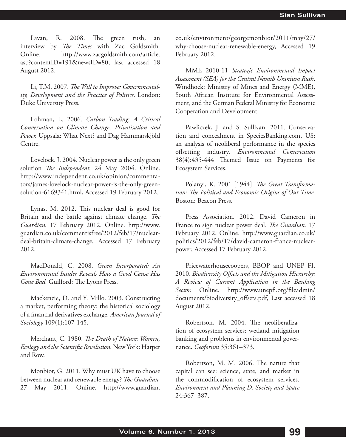Lavan, R. 2008. The green rush, an interview by *The Times* with Zac Goldsmith. Online. http://www.zacgoldsmith.com/article. asp?contentID=191&newsID=80, last accessed 18 August 2012.

Li, T.M. 2007. *The Will to Improve: Governmentality, Development and the Practice of Politics*. London: Duke University Press.

Lohman, L. 2006. *Carbon Trading: A Critical Conversation on Climate Change, Privatisation and Power.* Uppsala: What Next? and Dag Hammarskjöld Centre.

Lovelock. J. 2004. Nuclear power is the only green solution *The Independent.* 24 May 2004. Online. http://www.independent.co.uk/opinion/commentators/james-lovelock-nuclear-power-is-the-only-greensolution-6169341.html, Accessed 19 February 2012.

Lynas, M. 2012. This nuclear deal is good for Britain and the battle against climate change. *The Guardian.* 17 February 2012. Online. http://www. guardian.co.uk/commentisfree/2012/feb/17/nucleardeal-britain-climate-change, Accessed 17 February 2012.

MacDonald, C. 2008. *Green Incorporated: An Environmental Insider Reveals How a Good Cause Has Gone Bad.* Guilford: The Lyons Press.

Mackenzie, D. and Y. Millo. 2003. Constructing a market, performing theory: the historical sociology of a financial derivatives exchange. *American Journal of Sociology* 109(1):107-145.

Merchant, C. 1980. *The Death of Nature: Women, Ecology and the Scientific Revolution.* New York: Harper and Row.

Monbiot, G. 2011. Why must UK have to choose between nuclear and renewable energy? *The Guardian.* 27 May 2011. Online. http://www.guardian.

co.uk/environment/georgemonbiot/2011/may/27/ why-choose-nuclear-renewable-energy, Accessed 19 February 2012.

MME 2010-11 *Strategic Environmental Impact Assessment (SEA) for the Central Namib Uranium Rush*. Windhoek: Ministry of Mines and Energy (MME), South African Institute for Environmental Assessment, and the German Federal Ministry for Economic Cooperation and Development.

Pawliczek, J. and S. Sullivan. 2011. Conservation and concealment in SpeciesBanking.com, US: an analysis of neoliberal performance in the species offsetting industry. *Environmental Conservation* 38(4):435-444 Themed Issue on Payments for Ecosystem Services.

Polanyi, K. 2001 [1944]. *The Great Transformation: The Political and Economic Origins of Our Time.*  Boston: Beacon Press.

Press Association. 2012. David Cameron in France to sign nuclear power deal. *The Guardian.* 17 February 2012. Online. http://www.guardian.co.uk/ politics/2012/feb/17/david-cameron-france-nuclearpower, Accessed 17 February 2012.

Pricewaterhousecoopers, BBOP and UNEP FI. 2010. *Biodiversity Offsets and the Mitigation Hierarchy: A Review of Current Application in the Banking Sector.* Online. http://www.unepfi.org/fileadmin/ documents/biodiversity\_offsets.pdf, Last accessed 18 August 2012.

Robertson, M. 2004. The neoliberalization of ecosystem services: wetland mitigation banking and problems in environmental governance. *Geoforum* 35:361–373.

Robertson, M. M. 2006. The nature that capital can see: science, state, and market in the commodification of ecosystem services. *Environment and Planning D: Society and Space* 24:367–387.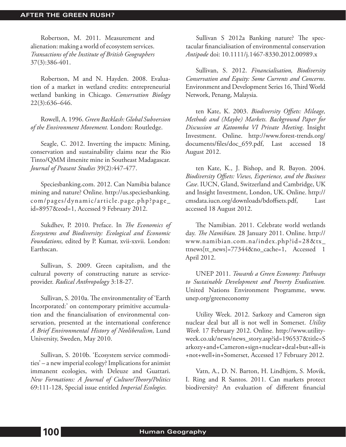#### **After the Green Rush?**

Robertson, M. 2011. Measurement and alienation: making a world of ecosystem services. *Transactions of the Institute of British Geographers* 37(3):386-401.

Robertson, M and N. Hayden. 2008. Evaluation of a market in wetland credits: entrepreneurial wetland banking in Chicago. *Conservation Biology* 22(3):636–646.

Rowell, A. 1996. *Green Backlash: Global Subversion of the Environment Movement.* London: Routledge.

Seagle, C. 2012. Inverting the impacts: Mining, conservation and sustainability claims near the Rio Tinto/QMM ilmenite mine in Southeast Madagascar. *Journal of Peasant Studies* 39(2):447-477.

Speciesbanking.com. 2012. Can Namibia balance mining and nature? Online. http://us.speciesbanking. com/pages/dynamic/article.page.php?page\_ id=8957&eod=1, Accessed 9 February 2012.

Sukdhev, P. 2010. Preface. In *The Economics of Ecosystems and Biodiversity: Ecological and Economic Foundations,* edited by P. Kumar, xvii-xxvii. London: Earthscan.

Sullivan, S. 2009. Green capitalism, and the cultural poverty of constructing nature as serviceprovider. *Radical Anthropology* 3:18-27.

Sullivan, S. 2010a. The environmentality of 'Earth Incorporated:' on contemporary primitive accumulation and the financialisation of environmental conservation, presented at the international conference *A Brief Environmental History of Neoliberalism*, Lund University, Sweden, May 2010.

Sullivan, S. 2010b. 'Ecosystem service commodities' – a new imperial ecology? Implications for animist immanent ecologies, with Deleuze and Guattari. *New Formations: A Journal of Culture/Theory/Politics*  69:111-128, Special issue entitled *Imperial Ecologies.*

Sullivan S 2012a Banking nature? The spectacular financialisation of environmental conservation *Antipode* doi: 10.1111/j.1467-8330.2012.00989.x

Sullivan, S. 2012. *Financialisation, Biodiversity Conservation and Equity: Some Currents and Concerns*. Environment and Development Series 16, Third World Network, Penang, Malaysia.

ten Kate, K. 2003. *Biodiversity Offsets: Mileage, Methods and (Maybe) Markets. Background Paper for Discussion at Katoomba VI Private Meeting*. Insight Investment. Online. http://www.forest-trends.org/ documents/files/doc\_659.pdf, Last accessed 18 August 2012.

ten Kate, K., J. Bishop, and R. Bayon. 2004. *Biodiversity Offsets: Views, Experience, and the Business Case*. IUCN, Gland, Switzerland and Cambridge, UK and Insight Investment, London, UK. Online. http:// cmsdata.iucn.org/downloads/bdoffsets.pdf, Last accessed 18 August 2012.

The Namibian. 2011. Celebrate world wetlands day. *The Namibian.* 28 January 2011. Online. http:// www.namibian.com.na/index.php?id=28&tx\_ ttnews[tt\_news]=77344&no\_cache=1, Accessed 1 April 2012.

UNEP 2011. *Towards a Green Economy: Pathways to Sustainable Development and Poverty Eradication.*  United Nations Environment Programme, www. unep.org/greeneconomy

Utility Week. 2012. Sarkozy and Cameron sign nuclear deal but all is not well in Somerset. *Utility Week.* 17 February 2012. Online. http://www.utilityweek.co.uk/news/news\_story.asp?id=196537&title=S arkozy+and+Cameron+sign+nuclear+deal+but+all+is +not+well+in+Somerset, Accessed 17 February 2012.

Vatn, A., D. N. Barton, H. Lindhjem, S. Movik, I. Ring and R Santos. 2011. Can markets protect biodiversity? An evaluation of different financial